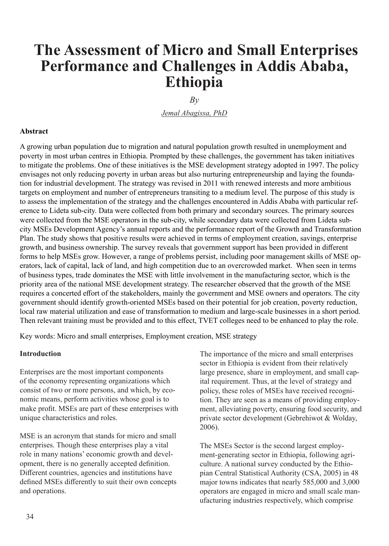# **The Assessment of Micro and Small Enterprises Performance and Challenges in Addis Ababa, Ethiopia**

 $Bv$ 

*Jemal Abagissa, PhD*

#### **Abstract**

A growing urban population due to migration and natural population growth resulted in unemployment and poverty in most urban centres in Ethiopia. Prompted by these challenges, the government has taken initiatives to mitigate the problems. One of these initiatives is the MSE development strategy adopted in 1997. The policy envisages not only reducing poverty in urban areas but also nurturing entrepreneurship and laying the foundation for industrial development. The strategy was revised in 2011 with renewed interests and more ambitious targets on employment and number of entrepreneurs transiting to a medium level. The purpose of this study is to assess the implementation of the strategy and the challenges encountered in Addis Ababa with particular reference to Lideta sub-city. Data were collected from both primary and secondary sources. The primary sources were collected from the MSE operators in the sub-city, while secondary data were collected from Lideta subcity MSEs Development Agency's annual reports and the performance report of the Growth and Transformation Plan. The study shows that positive results were achieved in terms of employment creation, savings, enterprise growth, and business ownership. The survey reveals that government support has been provided in different forms to help MSEs grow. However, a range of problems persist, including poor management skills of MSE operators, lack of capital, lack of land, and high competition due to an overcrowded market. When seen in terms of business types, trade dominates the MSE with little involvement in the manufacturing sector, which is the priority area of the national MSE development strategy. The researcher observed that the growth of the MSE requires a concerted effort of the stakeholders, mainly the government and MSE owners and operators. The city government should identify growth-oriented MSEs based on their potential for job creation, poverty reduction, local raw material utilization and ease of transformation to medium and large-scale businesses in a short period. Then relevant training must be provided and to this effect, TVET colleges need to be enhanced to play the role.

Key words: Micro and small enterprises, Employment creation, MSE strategy

#### **Introduction**

Enterprises are the most important components of the economy representing organizations which consist of two or more persons, and which, by economic means, perform activities whose goal is to make profit. MSEs are part of these enterprises with unique characteristics and roles.

MSE is an acronym that stands for micro and small enterprises. Though these enterprises play a vital role in many nations' economic growth and development, there is no generally accepted definition. Different countries, agencies and institutions have defined MSEs differently to suit their own concepts and operations.

The importance of the micro and small enterprises sector in Ethiopia is evident from their relatively large presence, share in employment, and small capital requirement. Thus, at the level of strategy and policy, these roles of MSEs have received recognition. They are seen as a means of providing employment, alleviating poverty, ensuring food security, and private sector development (Gebrehiwot & Wolday, 2006).

The MSEs Sector is the second largest employment-generating sector in Ethiopia, following agriculture. A national survey conducted by the Ethiopian Central Statistical Authority (CSA, 2005) in 48 major towns indicates that nearly 585,000 and 3,000 operators are engaged in micro and small scale manufacturing industries respectively, which comprise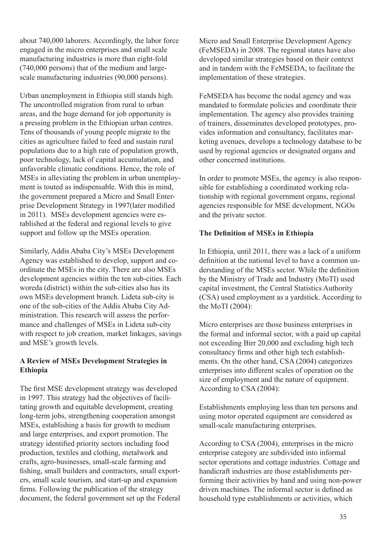about 740,000 laborers. Accordingly, the labor force engaged in the micro enterprises and small scale manufacturing industries is more than eight-fold (740,000 persons) that of the medium and largescale manufacturing industries (90,000 persons).

Urban unemployment in Ethiopia still stands high. The uncontrolled migration from rural to urban areas, and the huge demand for job opportunity is a pressing problem in the Ethiopian urban centres. Tens of thousands of young people migrate to the cities as agriculture failed to feed and sustain rural populations due to a high rate of population growth, poor technology, lack of capital accumulation, and unfavorable climatic conditions. Hence, the role of MSEs in alleviating the problem in urban unemployment is touted as indispensable. With this in mind, the government prepared a Micro and Small Enterprise Development Strategy in 1997(later modified in 2011). MSEs development agencies were established at the federal and regional levels to give support and follow up the MSEs operation.

Similarly, Addis Ababa City's MSEs Development Agency was established to develop, support and coordinate the MSEs in the city. There are also MSEs development agencies within the ten sub-cities. Each woreda (district) within the sub-cities also has its own MSEs development branch. Lideta sub-city is one of the sub-cities of the Addis Ababa City Administration. This research will assess the performance and challenges of MSEs in Lideta sub-city with respect to job creation, market linkages, savings and MSE's growth levels.

#### **A Review of MSEs Development Strategies in Ethiopia**

The first MSE development strategy was developed in 1997. This strategy had the objectives of facilitating growth and equitable development, creating long-term jobs, strengthening cooperation amongst MSEs, establishing a basis for growth to medium and large enterprises, and export promotion. The strategy identified priority sectors including food production, textiles and clothing, metalwork and crafts, agro-businesses, small-scale farming and fishing, small builders and contractors, small exporters, small scale tourism, and start-up and expansion firms. Following the publication of the strategy document, the federal government set up the Federal Micro and Small Enterprise Development Agency (FeMSEDA) in 2008. The regional states have also developed similar strategies based on their context and in tandem with the FeMSEDA, to facilitate the implementation of these strategies.

FeMSEDA has become the nodal agency and was mandated to formulate policies and coordinate their implementation. The agency also provides training of trainers, disseminates developed prototypes, provides information and consultancy, facilitates marketing avenues, develops a technology database to be used by regional agencies or designated organs and other concerned institutions.

In order to promote MSEs, the agency is also responsible for establishing a coordinated working relationship with regional government organs, regional agencies responsible for MSE development, NGOs and the private sector.

#### **The Definition of MSEs in Ethiopia**

In Ethiopia, until 2011, there was a lack of a uniform definition at the national level to have a common understanding of the MSEs sector. While the definition by the Ministry of Trade and Industry (MoTI) used capital investment, the Central Statistics Authority (CSA) used employment as a yardstick. According to the MoTI (2004):

Micro enterprises are those business enterprises in the formal and informal sector, with a paid up capital not exceeding Birr 20,000 and excluding high tech consultancy firms and other high tech establishments. On the other hand, CSA (2004) categorizes enterprises into different scales of operation on the size of employment and the nature of equipment. According to CSA (2004):

Establishments employing less than ten persons and using motor operated equipment are considered as small-scale manufacturing enterprises.

According to CSA (2004), enterprises in the micro enterprise category are subdivided into informal sector operations and cottage industries. Cottage and handicraft industries are those establishments performing their activities by hand and using non-power driven machines. The informal sector is defined as household type establishments or activities, which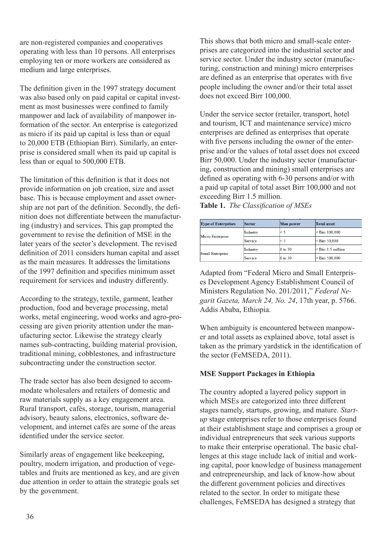are non-registered companies and cooperatives operating with less than 10 persons. All enterprises employing ten or more workers are considered as medium and large enterprises.

The definition given in the 1997 strategy document was also based only on paid capital or capital investment as most businesses were confined to family manpower and lack of availability of manpower information of the sector. An enterprise is categorized as micro if its paid up capital is less than or equal to 20,000 ETB (Ethiopian Birr). Similarly, an enterprise is considered small when its paid up capital is less than or equal to 500,000 ETB.

The limitation of this definition is that it does not provide information on job creation, size and asset base. This is because employment and asset ownership are not part of the definition. Secondly, the definition does not differentiate between the manufacturing (industry) and services. This gap prompted the government to revise the definition of MSE in the later years of the sector's development. The revised definition of 2011 considers human capital and asset as the main measures. It addresses the limitations of the 1997 definition and specifies minimum asset requirement for services and industry differently.

According to the strategy, textile, garment, leather production, food and beverage processing, metal works, metal engineering, wood works and agro-processing are given priority attention under the manufacturing sector. Likewise the strategy clearly names sub-contracting, building material provision, traditional mining, cobblestones, and infrastructure subcontracting under the construction sector.

The trade sector has also been designed to accommodate wholesalers and retailers of domestic and raw materials supply as a key engagement area. Rural transport, cafés, storage, tourism, managerial advisory, beauty salons, electronics, software development, and internet cafés are some of the areas identified under the service sector.

Similarly areas of engagement like beekeeping, poultry, modern irrigation, and production of vegetables and fruits are mentioned as key, and are given due attention in order to attain the strategic goals set by the government.

This shows that both micro and small-scale enterprises are categorized into the industrial sector and service sector. Under the industry sector (manufacturing, construction and mining) micro enterprises are defined as an enterprise that operates with five people including the owner and/or their total asset does not exceed Birr 100,000.

Under the service sector (retailer, transport, hotel and tourism, ICT and maintenance service) micro enterprises are defined as enterprises that operate with five persons including the owner of the enterprise and/or the values of total asset does not exceed Birr 50,000. Under the industry sector (manufacturing, construction and mining) small enterprises are defined as operating with 6-30 persons and/or with a paid up capital of total asset Birr 100,000 and not exceeding Birr 1.5 million.

**Table 1.** *The Classification of MSEs*

| <b>Type of Enterprises</b> | Sector   | Man power | <b>Total</b> asset      |
|----------------------------|----------|-----------|-------------------------|
| Micro Enterprise           | Industry | $\leq 5$  | $<$ Birr 100,000        |
|                            | Service  | $\leq$ 5  | $<$ Birr 50.000         |
| Small Enterprise           | Industry | 6 to 30   | $\leq$ Birr 1.5 million |
|                            | Service  | 6 to 30   | $<$ Birr 500,000        |

Adapted from "Federal Micro and Small Enterprises Development Agency Establishment Council of Ministers Regulation No. 201/2011," *Federal Negarit Gazeta, March 24, No. 24*, 17th year, p. 5766. Addis Ababa, Ethiopia.

When ambiguity is encountered between manpower and total assets as explained above, total asset is taken as the primary yardstick in the identification of the sector (FeMSEDA, 2011).

#### **MSE Support Packages in Ethiopia**

The country adopted a layered policy support in which MSEs are categorized into three different stages namely, startups, growing, and mature. *Startup* stage enterprises refer to those enterprises found at their establishment stage and comprises a group or individual entrepreneurs that seek various supports to make their enterprise operational. The basic challenges at this stage include lack of initial and working capital, poor knowledge of business management and entrepreneurship, and lack of know-how about the different government policies and directives related to the sector. In order to mitigate these challenges, FeMSEDA has designed a strategy that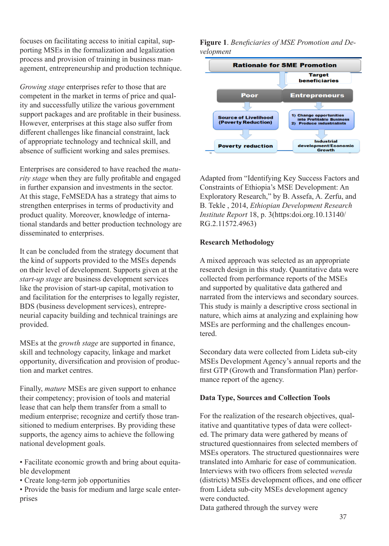focuses on facilitating access to initial capital, supporting MSEs in the formalization and legalization process and provision of training in business management, entrepreneurship and production technique.

*Growing stage* enterprises refer to those that are competent in the market in terms of price and quality and successfully utilize the various government support packages and are profitable in their business. However, enterprises at this stage also suffer from different challenges like financial constraint, lack of appropriate technology and technical skill, and absence of sufficient working and sales premises.

Enterprises are considered to have reached the *maturity stage* when they are fully profitable and engaged in further expansion and investments in the sector. At this stage, FeMSEDA has a strategy that aims to strengthen enterprises in terms of productivity and product quality. Moreover, knowledge of international standards and better production technology are disseminated to enterprises.

It can be concluded from the strategy document that the kind of supports provided to the MSEs depends on their level of development. Supports given at the *start-up stage* are business development services like the provision of start-up capital, motivation to and facilitation for the enterprises to legally register, BDS (business development services), entrepreneurial capacity building and technical trainings are provided.

MSEs at the *growth stage* are supported in finance, skill and technology capacity, linkage and market opportunity, diversification and provision of production and market centres.

Finally, *mature* MSEs are given support to enhance their competency; provision of tools and material lease that can help them transfer from a small to medium enterprise; recognize and certify those transitioned to medium enterprises. By providing these supports, the agency aims to achieve the following national development goals.

• Facilitate economic growth and bring about equitable development

• Create long-term job opportunities

• Provide the basis for medium and large scale enterprises

**Figure 1**. *Beneficiaries of MSE Promotion and Development*



Adapted from "Identifying Key Success Factors and Constraints of Ethiopia's MSE Development: An Exploratory Research," by B. Assefa, A. Zerfu, and B. Tekle , 2014, *Ethiopian Development Research Institute Report* 18, p. 3(https:doi.org.10.13140/ RG.2.11572.4963)

#### **Research Methodology**

A mixed approach was selected as an appropriate research design in this study. Quantitative data were collected from performance reports of the MSEs and supported by qualitative data gathered and narrated from the interviews and secondary sources. This study is mainly a descriptive cross sectional in nature, which aims at analyzing and explaining how MSEs are performing and the challenges encountered.

Secondary data were collected from Lideta sub-city MSEs Development Agency's annual reports and the first GTP (Growth and Transformation Plan) performance report of the agency.

#### **Data Type, Sources and Collection Tools**

For the realization of the research objectives, qualitative and quantitative types of data were collected. The primary data were gathered by means of structured questionnaires from selected members of MSEs operators. The structured questionnaires were translated into Amharic for ease of communication. Interviews with two officers from selected *wereda*  (districts) MSEs development offices, and one officer from Lideta sub-city MSEs development agency were conducted.

Data gathered through the survey were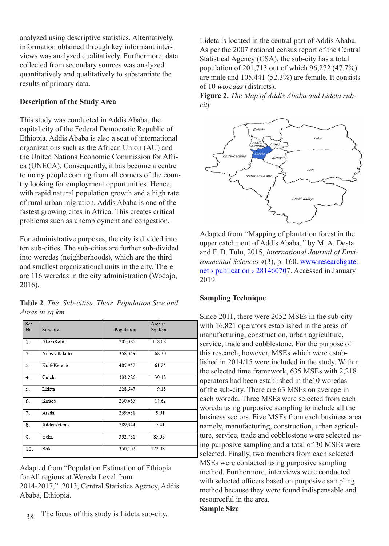analyzed using descriptive statistics. Alternatively, information obtained through key informant interviews was analyzed qualitatively. Furthermore, data collected from secondary sources was analyzed quantitatively and qualitatively to substantiate the results of primary data.

#### **Description of the Study Area**

This study was conducted in Addis Ababa, the capital city of the Federal Democratic Republic of Ethiopia. Addis Ababa is also a seat of international organizations such as the African Union (AU) and the United Nations Economic Commission for Africa (UNECA). Consequently, it has become a centre to many people coming from all corners of the country looking for employment opportunities. Hence, with rapid natural population growth and a high rate of rural-urban migration, Addis Ababa is one of the fastest growing cites in Africa. This creates critical problems such as unemployment and congestion.

For administrative purposes, the city is divided into ten sub-cities. The sub-cities are further sub-divided into weredas (neighborhoods), which are the third and smallest organizational units in the city. There are 116 weredas in the city administration (Wodajo, 2016).

**Table 2**. *The Sub-cities, Their Population Size and Areas in sq km*

| Ser<br>No | Sub-city         | Population | Area in<br>Sq. Km |
|-----------|------------------|------------|-------------------|
| 1.        | AkakiKaliti      | 205,385    | 118.08            |
| 2.        | Nifas silk lafto | 358,359    | 68.30             |
| 3.        | KolfeKeranio     | 485,952    | 61.25             |
| 4.        | Gulele           | 303,226    | 30.18             |
| 5.        | Lideta           | 228,547    | 9.18              |
| 6.        | Kirkos           | 250,665    | 14.62             |
| 7.        | Arada            | 239,638    | 9.91              |
| 8.        | Addis ketema     | 289,344    | 7.41              |
| 9.        | Yeka             | 392,781    | 85.98             |
| 10.       | Bole             | 350,102    | 122.08            |

Adapted from "Population Estimation of Ethiopia for All regions at Wereda Level from 2014-2017," 2013, Central Statistics Agency, Addis Ababa, Ethiopia.

38 The focus of this study is Lideta sub-city. Lideta is located in the central part of Addis Ababa. As per the 2007 national census report of the Central Statistical Agency (CSA), the sub-city has a total population of 201,713 out of which 96,272 (47.7%) are male and 105,441 (52.3%) are female. It consists of 10 *woredas* (districts).

**Figure 2.** *The Map of Addis Ababa and Lideta subcity*



Adapted from *"*Mapping of plantation forest in the upper catchment of Addis Ababa,*"* by M. A. Desta and F. D. Tulu, 2015, *International Journal of Environmental Sciences 4*(3), p. 160. www.researchgate. net › publication › 281460707. Accessed in January 2019.

#### **Sampling Technique**

Since 2011, there were 2052 MSEs in the sub-city with 16,821 operators established in the areas of manufacturing, construction, urban agriculture, service, trade and cobblestone. For the purpose of this research, however, MSEs which were established in 2014/15 were included in the study. Within the selected time framework, 635 MSEs with 2,218 operators had been established in the10 woredas of the sub-city. There are 63 MSEs on average in each woreda. Three MSEs were selected from each woreda using purposive sampling to include all the business sectors. Five MSEs from each business area namely, manufacturing, construction, urban agriculture, service, trade and cobblestone were selected using purposive sampling and a total of 30 MSEs were selected. Finally, two members from each selected MSEs were contacted using purposive sampling method. Furthermore, interviews were conducted with selected officers based on purposive sampling method because they were found indispensable and resourceful in the area.

#### **Sample Size**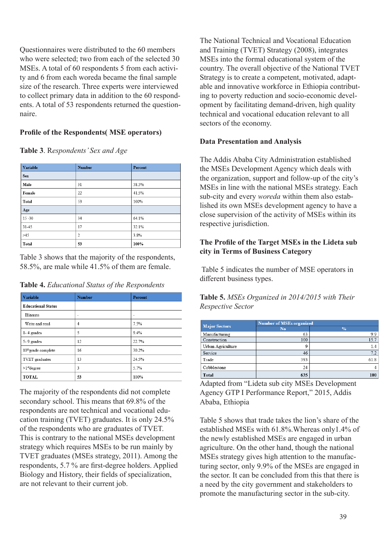Questionnaires were distributed to the 60 members who were selected; two from each of the selected 30 MSEs. A total of 60 respondents 5 from each activity and 6 from each woreda became the final sample size of the research. Three experts were interviewed to collect primary data in addition to the 60 respondents. A total of 53 respondents returned the questionnaire.

## **Profile of the Respondents( MSE operators)**

**Table 3**. R*espondents' Sex and Age*

| Variable     | <b>Number</b> | Percent |
|--------------|---------------|---------|
| <b>Sex</b>   |               |         |
| Male         | 31            | 58.5%   |
| Female       | 22            | 41.5%   |
| Total        | 53            | 100%    |
| Age          |               |         |
| $15 - 30$    | 34            | 64.1%   |
| 31-45        | 17            | 32.1%   |
| >45          | 2             | 3.8%    |
| <b>Total</b> | 53            | 100%    |

Table 3 shows that the majority of the respondents, 58.5%, are male while 41.5% of them are female.

| Table 4. Educational Status of the Respondents |  |  |
|------------------------------------------------|--|--|
|------------------------------------------------|--|--|

| <b>Variable</b>                 | <b>Number</b> | Percent |  |
|---------------------------------|---------------|---------|--|
| <b>Educational Status</b>       |               |         |  |
| Illiterate                      | ۰             | ٠       |  |
| Write and read                  | 4             | 7.5%    |  |
| $1 - 4$ grades                  | 5             | 9.4%    |  |
| 5-9 grades                      | 12            | 22.7%   |  |
| 10 <sup>th</sup> grade complete | 16            | 30.2%   |  |
| TVET graduates                  | 13            | 24.5%   |  |
| $>1$ <sup>st</sup> degree       | 3             | 5.7%    |  |
| <b>TOTAL</b>                    | 53            | 100%    |  |

The majority of the respondents did not complete secondary school. This means that 69.8% of the respondents are not technical and vocational education training (TVET) graduates. It is only 24.5% of the respondents who are graduates of TVET. This is contrary to the national MSEs development strategy which requires MSEs to be run mainly by TVET graduates (MSEs strategy, 2011). Among the respondents, 5.7 % are first-degree holders. Applied Biology and History, their fields of specialization, are not relevant to their current job.

The National Technical and Vocational Education and Training (TVET) Strategy (2008), integrates MSEs into the formal educational system of the country. The overall objective of the National TVET Strategy is to create a competent, motivated, adaptable and innovative workforce in Ethiopia contributing to poverty reduction and socio-economic development by facilitating demand-driven, high quality technical and vocational education relevant to all sectors of the economy.

#### **Data Presentation and Analysis**

The Addis Ababa City Administration established the MSEs Development Agency which deals with the organization, support and follow-up of the city's MSEs in line with the national MSEs strategy. Each sub-city and every *woreda* within them also established its own MSEs development agency to have a close supervision of the activity of MSEs within its respective jurisdiction.

#### **The Profile of the Target MSEs in the Lideta sub city in Terms of Business Category**

 Table 5 indicates the number of MSE operators in different business types.

| <b>Table 5.</b> MSEs Organized in 2014/2015 with Their |  |
|--------------------------------------------------------|--|
| Respective Sector                                      |  |

|                      | <b>Number of MSEs organized</b> |                |  |  |  |
|----------------------|---------------------------------|----------------|--|--|--|
| <b>Major Sectors</b> | N <sub>o</sub>                  | $\frac{9}{6}$  |  |  |  |
| Manufacturing        | 63                              | 9.9            |  |  |  |
| Construction         | 100                             | 15.7           |  |  |  |
| Urban Agriculture    | 9                               | 1.4            |  |  |  |
| Service              | 46                              | 7.2            |  |  |  |
| Trade                | 393                             | 61.8           |  |  |  |
| Cobblestone          | 24                              | $\overline{4}$ |  |  |  |
| <b>Total</b>         | 635                             | 100            |  |  |  |

Adapted from "Lideta sub city MSEs Development Agency GTP I Performance Report," 2015, Addis Ababa, Ethiopia

Table 5 shows that trade takes the lion's share of the established MSEs with 61.8%.Whereas only1.4% of the newly established MSEs are engaged in urban agriculture. On the other hand, though the national MSEs strategy gives high attention to the manufacturing sector, only 9.9% of the MSEs are engaged in the sector. It can be concluded from this that there is a need by the city government and stakeholders to promote the manufacturing sector in the sub-city.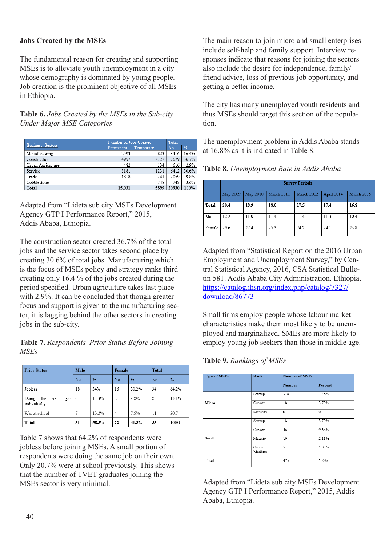#### **Jobs Created by the MSEs**

The fundamental reason for creating and supporting MSEs is to alleviate youth unemployment in a city whose demography is dominated by young people. Job creation is the prominent objective of all MSEs in Ethiopia.

#### **Table 6.** *Jobs Created by the MSEs in the Sub-city Under Major MSE Categories*

|                         | Number of Jobs Created | Total     |       |       |
|-------------------------|------------------------|-----------|-------|-------|
| <b>Business Sectors</b> | Permanent              | Temporary | No    | %     |
| Manufacturing           | 2593                   | 823       | 3416  | 16.4% |
| Construction            | 4957                   | 2722      | 7679  | 36.7% |
| Urban Agriculture       | 482                    | 134       | 616   | 2.9%  |
| Service                 | 5181                   | 1231      | 6412  | 30.6% |
| Trade                   | 1818                   | 241       | 2059  | 9.8%  |
| Cobblestone             | -                      | 748       | 748   | 3.6%  |
| Total                   | 15.031                 | 5899      | 20930 | 100%  |

Adapted from "Lideta sub city MSEs Development Agency GTP I Performance Report," 2015, Addis Ababa, Ethiopia.

The construction sector created 36.7% of the total jobs and the service sector takes second place by creating 30.6% of total jobs. Manufacturing which is the focus of MSEs policy and strategy ranks third creating only 16.4 % of the jobs created during the period specified. Urban agriculture takes last place with 2.9%. It can be concluded that though greater focus and support is given to the manufacturing sector, it is lagging behind the other sectors in creating jobs in the sub-city.

#### **Table 7.** *Respondents' Prior Status Before Joining MSEs*

| <b>Prior Status</b>                         | Male |       | Female         |       | <b>Total</b> |               |
|---------------------------------------------|------|-------|----------------|-------|--------------|---------------|
|                                             | No   | %     | No             | $\%$  | No           | $\frac{0}{0}$ |
| Jobless                                     | 18   | 34%   | 16             | 30.2% | 34           | 64.2%         |
| Doing<br>the<br>job<br>same<br>individually | - 6  | 11.3% | $\overline{2}$ | 3.8%  | 8            | 15.1%         |
| Was at school                               |      | 13.2% | $\overline{4}$ | 7.5%  | 11           | 20.7          |
| Total                                       | 31   | 58.5% | 22             | 41.5% | 53           | 100%          |

Table 7 shows that 64.2% of respondents were jobless before joining MSEs. A small portion of respondents were doing the same job on their own. Only 20.7% were at school previously. This shows that the number of TVET graduates joining the MSEs sector is very minimal.

The main reason to join micro and small enterprises include self-help and family support. Interview responses indicate that reasons for joining the sectors also include the desire for independence, family/ friend advice, loss of previous job opportunity, and getting a better income.

The city has many unemployed youth residents and thus MSEs should target this section of the population.

The unemployment problem in Addis Ababa stands at 16.8% as it is indicated in Table 8.



|        | <b>Survey Periods</b> |          |            |            |            |            |  |  |
|--------|-----------------------|----------|------------|------------|------------|------------|--|--|
|        | May 2009              | May 2010 | March 2011 | March 2012 | April 2014 | March 2015 |  |  |
| Total  | 20.4                  | 18.9     | 18.0       | 17.5       | 17.4       | 16.8       |  |  |
| Male   | 12.2                  | 11.0     | 11.4       | 11.4       | 11.3       | 10.4       |  |  |
| Female | 29.6                  | 27.4     | 25.3       | 24.2       | 24.1       | 23.8       |  |  |

Adapted from "Statistical Report on the 2016 Urban Employment and Unemployment Survey," by Central Statistical Agency, 2016, CSA Statistical Bulletin 581. Addis Ababa City Administration. Ethiopia. https://catalog.ihsn.org/index.php/catalog/7327/ download/86773

Small firms employ people whose labour market characteristics make them most likely to be unemployed and marginalized. SMEs are more likely to employ young job seekers than those in middle age.

**Table 9.** *Rankings of MSEs*

| <b>Type of MSEs</b> | Rank             |               | <b>Number of MSEs</b> |  |  |
|---------------------|------------------|---------------|-----------------------|--|--|
|                     |                  | <b>Number</b> | Percent               |  |  |
|                     | Startup          | 378           | 79.6%                 |  |  |
| Micro               | Growth           | 18            | 3.79%                 |  |  |
|                     | Maturity         | $\mathbf{0}$  | $\Omega$              |  |  |
|                     | Startup          | 18            | 3.79%                 |  |  |
|                     | Growth           | 46            | 9.68%                 |  |  |
| Small               | Maturity         | 10            | 2.11%                 |  |  |
|                     | Growth<br>Medium | 5             | 1.05%                 |  |  |
| Total               |                  | 475           | 100%                  |  |  |

Adapted from "Lideta sub city MSEs Development Agency GTP I Performance Report," 2015, Addis Ababa, Ethiopia.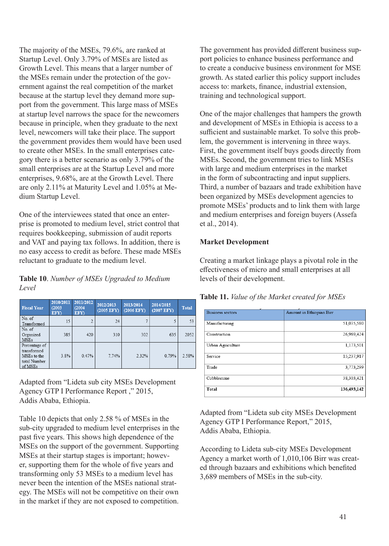The majority of the MSEs, 79.6%, are ranked at Startup Level. Only 3.79% of MSEs are listed as Growth Level. This means that a larger number of the MSEs remain under the protection of the government against the real competition of the market because at the startup level they demand more support from the government. This large mass of MSEs at startup level narrows the space for the newcomers because in principle, when they graduate to the next level, newcomers will take their place. The support the government provides them would have been used to create other MSEs. In the small enterprises category there is a better scenario as only 3.79% of the small enterprises are at the Startup Level and more enterprises, 9.68%, are at the Growth Level. There are only 2.11% at Maturity Level and 1.05% at Medium Startup Level.

One of the interviewees stated that once an enterprise is promoted to medium level, strict control that requires bookkeeping, submission of audit reports and VAT and paying tax follows. In addition, there is no easy access to credit as before. These made MSEs reluctant to graduate to the medium level.

**Table 10**. *Number of MSEs Upgraded to Medium Level*

| <b>Fiscal Year</b>                                                     | 2010/2011<br>(2003)<br>EFY) | 2011/2012<br>(2004)<br>EFY) | 2012/2013<br>(2005 EFY) | 2013/2014<br>(2006 EFY) | 2014/2015<br>(2007 EFY) | <b>Total</b> |
|------------------------------------------------------------------------|-----------------------------|-----------------------------|-------------------------|-------------------------|-------------------------|--------------|
| No. of<br>Transformed                                                  | 15                          | $\mathfrak{D}$              | 24                      | 7                       | 5                       | 53           |
| No. of<br>Organized<br><b>MSEs</b>                                     | 385                         | 420                         | 310                     | 302                     | 635                     | 2052         |
| Percentage of<br>transformed<br>MSEs to the<br>total Number<br>of MSEs | 3.8%                        | 0.47%                       | 7.74%                   | 2.32%                   | 0.79%                   | 2.58%        |

Adapted from "Lideta sub city MSEs Development Agency GTP I Performance Report ," 2015, Addis Ababa, Ethiopia.

Table 10 depicts that only 2.58 % of MSEs in the sub-city upgraded to medium level enterprises in the past five years. This shows high dependence of the MSEs on the support of the government. Supporting MSEs at their startup stages is important; however, supporting them for the whole of five years and transforming only 53 MSEs to a medium level has never been the intention of the MSEs national strategy. The MSEs will not be competitive on their own in the market if they are not exposed to competition.

The government has provided different business support policies to enhance business performance and to create a conducive business environment for MSE growth. As stated earlier this policy support includes access to: markets, finance, industrial extension, training and technological support.

One of the major challenges that hampers the growth and development of MSEs in Ethiopia is access to a sufficient and sustainable market. To solve this problem, the government is intervening in three ways. First, the government itself buys goods directly from MSEs. Second, the government tries to link MSEs with large and medium enterprises in the market in the form of subcontracting and input suppliers. Third, a number of bazaars and trade exhibition have been organized by MSEs development agencies to promote MSEs' products and to link them with large and medium enterprises and foreign buyers (Assefa et al., 2014).

#### **Market Development**

Creating a market linkage plays a pivotal role in the effectiveness of micro and small enterprises at all levels of their development.

#### **Table 11.** *Value of the Market created for MSEs*

| <b>Business sectors</b> | Amount in Ethiopian Birr |
|-------------------------|--------------------------|
| Manufacturing           | 51,035,580               |
| Construction            | 26,969,424               |
| Urban Agriculture       | 1,173,501                |
| Service                 | 15,237,917               |
| Trade                   | 3,773,299                |
| Cobblestone             | 38,303,421               |
| Total                   | 136,493,142              |

Adapted from "Lideta sub city MSEs Development Agency GTP I Performance Report," 2015, Addis Ababa, Ethiopia.

According to Lideta sub-city MSEs Development Agency a market worth of 1,010,106 Birr was created through bazaars and exhibitions which benefited 3,689 members of MSEs in the sub-city.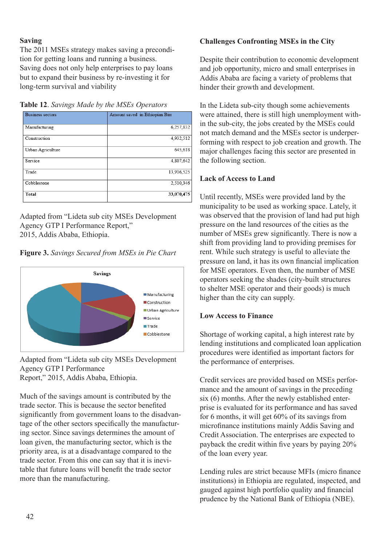## **Saving**

The 2011 MSEs strategy makes saving a precondition for getting loans and running a business. Saving does not only help enterprises to pay loans but to expand their business by re-investing it for long-term survival and viability

**Table 12**. *Savings Made by the MSEs Operators*

| Business sectors  | Amount saved in Ethiopian Birr |
|-------------------|--------------------------------|
| Manufacturing     | 6,257,832                      |
| Construction      | 4,932,512                      |
| Urban Agriculture | 645.618                        |
| Service           | 4,807,642                      |
| Trade             | 13.916.525                     |
| Cobblestone       | 2,510,346                      |
| Total             | 33,070,475                     |

Adapted from "Lideta sub city MSEs Development Agency GTP I Performance Report," 2015, Addis Ababa, Ethiopia.

**Figure 3.** *Savings Secured from MSEs in Pie Chart*



Adapted from "Lideta sub city MSEs Development Agency GTP I Performance Report," 2015, Addis Ababa, Ethiopia.

Much of the savings amount is contributed by the trade sector. This is because the sector benefited significantly from government loans to the disadvantage of the other sectors specifically the manufacturing sector. Since savings determines the amount of loan given, the manufacturing sector, which is the priority area, is at a disadvantage compared to the trade sector. From this one can say that it is inevitable that future loans will benefit the trade sector more than the manufacturing.

# **Challenges Confronting MSEs in the City**

Despite their contribution to economic development and job opportunity, micro and small enterprises in Addis Ababa are facing a variety of problems that hinder their growth and development.

In the Lideta sub-city though some achievements were attained, there is still high unemployment within the sub-city, the jobs created by the MSEs could not match demand and the MSEs sector is underperforming with respect to job creation and growth. The major challenges facing this sector are presented in the following section.

# **Lack of Access to Land**

Until recently, MSEs were provided land by the municipality to be used as working space. Lately, it was observed that the provision of land had put high pressure on the land resources of the cities as the number of MSEs grew significantly. There is now a shift from providing land to providing premises for rent. While such strategy is useful to alleviate the pressure on land, it has its own financial implication for MSE operators. Even then, the number of MSE operators seeking the shades (city-built structures to shelter MSE operator and their goods) is much higher than the city can supply.

#### **Low Access to Finance**

Shortage of working capital, a high interest rate by lending institutions and complicated loan application procedures were identified as important factors for the performance of enterprises.

Credit services are provided based on MSEs performance and the amount of savings in the preceding six (6) months. After the newly established enterprise is evaluated for its performance and has saved for 6 months, it will get 60% of its savings from microfinance institutions mainly Addis Saving and Credit Association. The enterprises are expected to payback the credit within five years by paying 20% of the loan every year.

Lending rules are strict because MFIs (micro finance institutions) in Ethiopia are regulated, inspected, and gauged against high portfolio quality and financial prudence by the National Bank of Ethiopia (NBE).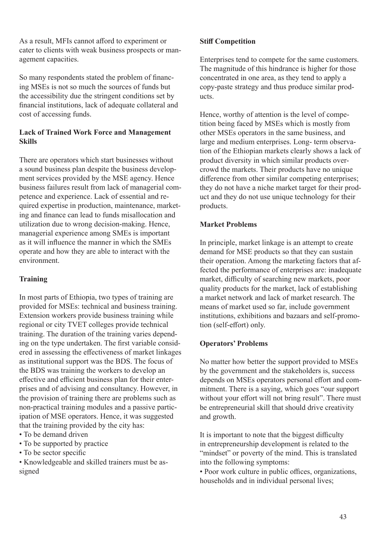As a result, MFIs cannot afford to experiment or cater to clients with weak business prospects or management capacities.

So many respondents stated the problem of financing MSEs is not so much the sources of funds but the accessibility due the stringent conditions set by financial institutions, lack of adequate collateral and cost of accessing funds.

## **Lack of Trained Work Force and Management Skills**

There are operators which start businesses without a sound business plan despite the business development services provided by the MSE agency. Hence business failures result from lack of managerial competence and experience. Lack of essential and required expertise in production, maintenance, marketing and finance can lead to funds misallocation and utilization due to wrong decision-making. Hence, managerial experience among SMEs is important as it will influence the manner in which the SMEs operate and how they are able to interact with the environment.

#### **Training**

In most parts of Ethiopia, two types of training are provided for MSEs: technical and business training. Extension workers provide business training while regional or city TVET colleges provide technical training. The duration of the training varies depending on the type undertaken. The first variable considered in assessing the effectiveness of market linkages as institutional support was the BDS. The focus of the BDS was training the workers to develop an effective and efficient business plan for their enterprises and of advising and consultancy. However, in the provision of training there are problems such as non-practical training modules and a passive participation of MSE operators. Hence, it was suggested that the training provided by the city has:

- To be demand driven
- To be supported by practice
- To be sector specific

• Knowledgeable and skilled trainers must be assigned

#### **Stiff Competition**

Enterprises tend to compete for the same customers. The magnitude of this hindrance is higher for those concentrated in one area, as they tend to apply a copy-paste strategy and thus produce similar products.

Hence, worthy of attention is the level of competition being faced by MSEs which is mostly from other MSEs operators in the same business, and large and medium enterprises. Long- term observation of the Ethiopian markets clearly shows a lack of product diversity in which similar products overcrowd the markets. Their products have no unique difference from other similar competing enterprises: they do not have a niche market target for their product and they do not use unique technology for their products.

## **Market Problems**

In principle, market linkage is an attempt to create demand for MSE products so that they can sustain their operation. Among the marketing factors that affected the performance of enterprises are: inadequate market, difficulty of searching new markets, poor quality products for the market, lack of establishing a market network and lack of market research. The means of market used so far, include government institutions, exhibitions and bazaars and self-promotion (self-effort) only.

# **Operators' Problems**

No matter how better the support provided to MSEs by the government and the stakeholders is, success depends on MSEs operators personal effort and commitment. There is a saying, which goes "our support without your effort will not bring result". There must be entrepreneurial skill that should drive creativity and growth.

It is important to note that the biggest difficulty in entrepreneurship development is related to the "mindset" or poverty of the mind. This is translated into the following symptoms:

• Poor work culture in public offices, organizations, households and in individual personal lives;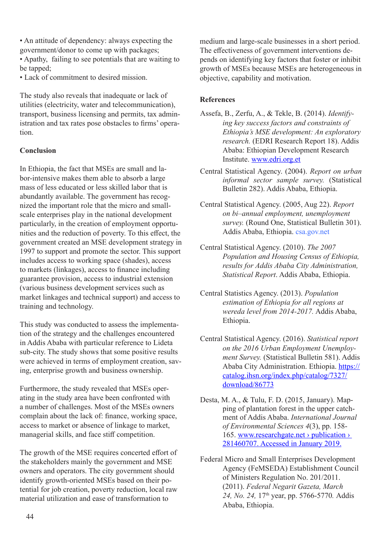• An attitude of dependency: always expecting the government/donor to come up with packages;

• Apathy, failing to see potentials that are waiting to be tapped;

• Lack of commitment to desired mission.

The study also reveals that inadequate or lack of utilities (electricity, water and telecommunication), transport, business licensing and permits, tax administration and tax rates pose obstacles to firms' operation.

#### **Conclusion**

In Ethiopia, the fact that MSEs are small and labor-intensive makes them able to absorb a large mass of less educated or less skilled labor that is abundantly available. The government has recognized the important role that the micro and smallscale enterprises play in the national development particularly, in the creation of employment opportunities and the reduction of poverty. To this effect, the government created an MSE development strategy in 1997 to support and promote the sector. This support includes access to working space (shades), access to markets (linkages), access to finance including guarantee provision, access to industrial extension (various business development services such as market linkages and technical support) and access to training and technology.

This study was conducted to assess the implementation of the strategy and the challenges encountered in Addis Ababa with particular reference to Lideta sub-city. The study shows that some positive results were achieved in terms of employment creation, saving, enterprise growth and business ownership.

Furthermore, the study revealed that MSEs operating in the study area have been confronted with a number of challenges. Most of the MSEs owners complain about the lack of: finance, working space, access to market or absence of linkage to market, managerial skills, and face stiff competition.

The growth of the MSE requires concerted effort of the stakeholders mainly the government and MSE owners and operators. The city government should identify growth-oriented MSEs based on their potential for job creation, poverty reduction, local raw material utilization and ease of transformation to

medium and large-scale businesses in a short period. The effectiveness of government interventions depends on identifying key factors that foster or inhibit growth of MSEs because MSEs are heterogeneous in objective, capability and motivation.

## **References**

- Assefa, B., Zerfu, A., & Tekle, B. (2014). *Identifying key success factors and constraints of Ethiopia's MSE development: An exploratory research.* (EDRI Research Report 18). Addis Ababa: Ethiopian Development Research Institute. www.edri.org.et
- Central Statistical Agency. (2004). *Report on urban informal sector sample survey.* (Statistical Bulletin 282). Addis Ababa, Ethiopia.
- Central Statistical Agency. (2005, Aug 22). *Report on bi–annual employment, unemployment survey.* (Round One, Statistical Bulletin 301). Addis Ababa, Ethiopia. csa.gov.net
- Central Statistical Agency. (2010). *The 2007 Population and Housing Census of Ethiopia, results for Addis Ababa City Administration, Statistical Report*. Addis Ababa, Ethiopia.
- Central Statistics Agency. (2013). *Population estimation of Ethiopia for all regions at wereda level from 2014-2017.* Addis Ababa, Ethiopia.
- Central Statistical Agency. (2016). *Statistical report on the 2016 Urban Employment Unemployment Survey.* (Statistical Bulletin 581). Addis Ababa City Administration. Ethiopia. https:// catalog.ihsn.org/index.php/catalog/7327/ download/86773
- Desta, M. A., & Tulu, F. D. (2015, January). Mapping of plantation forest in the upper catchment of Addis Ababa. *International Journal of Environmental Sciences 4*(3), pp. 158- 165. www.researchgate.net › publication › 281460707. Accessed in January 2019.
- Federal Micro and Small Enterprises Development Agency (FeMSEDA) Establishment Council of Ministers Regulation No. 201/2011. (2011). *Federal Negarit Gazeta, March 24, No. 24,* 17th year, pp. 5766-5770*.* Addis Ababa, Ethiopia.